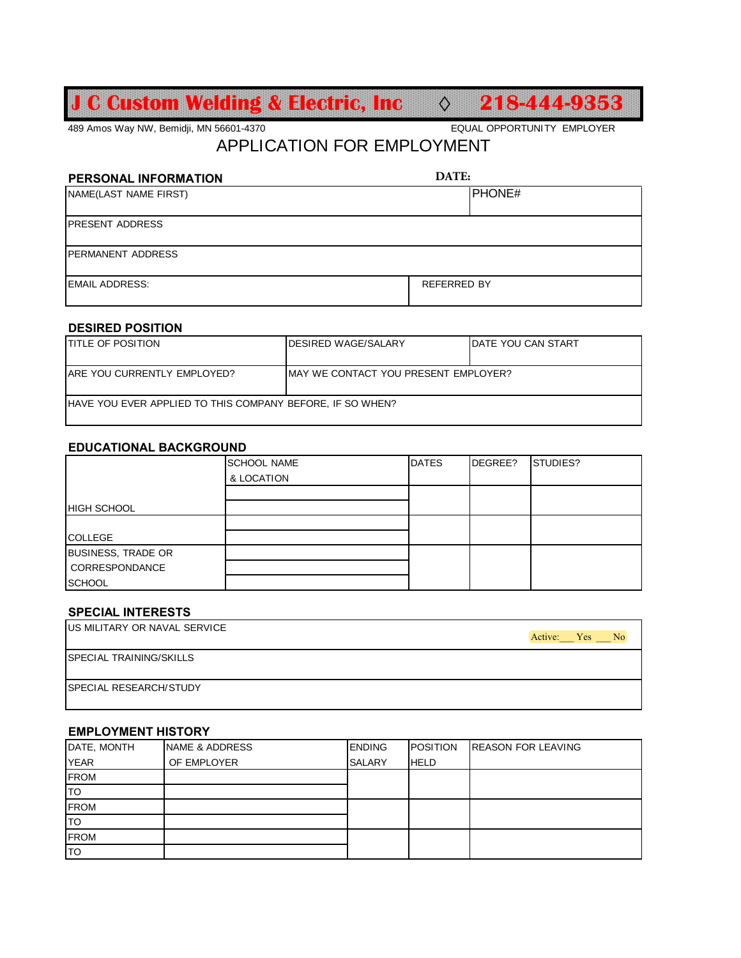# **J C Custom Welding & Electric, Inc ◊ 218-444-9353**

489 Amos Way NW, Bemidji, MN 56601-4370 EQUAL OPPORTUNITY EMPLOYER

## APPLICATION FOR EMPLOYMENT

| PERSONAL INFORMATION     | DATE:              |  |  |
|--------------------------|--------------------|--|--|
| NAME(LAST NAME FIRST)    | PHONE#             |  |  |
| <b>IPRESENT ADDRESS</b>  |                    |  |  |
| <b>PERMANENT ADDRESS</b> |                    |  |  |
| <b>EMAIL ADDRESS:</b>    | <b>REFERRED BY</b> |  |  |

### **DESIRED POSITION**

| <b>ITITLE OF POSITION</b>                                         | <b>IDESIRED WAGE/SALARY</b>           | <b>IDATE YOU CAN START</b> |  |
|-------------------------------------------------------------------|---------------------------------------|----------------------------|--|
|                                                                   |                                       |                            |  |
| <b>ARE YOU CURRENTLY EMPLOYED?</b>                                | IMAY WE CONTACT YOU PRESENT EMPLOYER? |                            |  |
| <b>IHAVE YOU EVER APPLIED TO THIS COMPANY BEFORE. IF SO WHEN?</b> |                                       |                            |  |

#### **EDUCATIONAL BACKGROUND**

|                           | <b>SCHOOL NAME</b> | <b>DATES</b> | DEGREE? | STUDIES? |
|---------------------------|--------------------|--------------|---------|----------|
|                           | & LOCATION         |              |         |          |
|                           |                    |              |         |          |
| <b>HIGH SCHOOL</b>        |                    |              |         |          |
|                           |                    |              |         |          |
| <b>COLLEGE</b>            |                    |              |         |          |
| <b>BUSINESS, TRADE OR</b> |                    |              |         |          |
| <b>CORRESPONDANCE</b>     |                    |              |         |          |
| <b>SCHOOL</b>             |                    |              |         |          |

#### **SPECIAL INTERESTS**

| <b>IUS MILITARY OR NAVAL SERVICE</b> | Active: Yes No |
|--------------------------------------|----------------|
| <b>SPECIAL TRAINING/SKILLS</b>       |                |
| SPECIAL RESEARCH/STUDY               |                |

#### **EMPLOYMENT HISTORY**

| DATE, MONTH | <b>NAME &amp; ADDRESS</b> | <b>ENDING</b> | <b>POSITION</b> | <b>REASON FOR LEAVING</b> |
|-------------|---------------------------|---------------|-----------------|---------------------------|
| <b>YEAR</b> | OF EMPLOYER               | <b>SALARY</b> | <b>HELD</b>     |                           |
| <b>FROM</b> |                           |               |                 |                           |
| lto         |                           |               |                 |                           |
| <b>FROM</b> |                           |               |                 |                           |
| lto         |                           |               |                 |                           |
| <b>FROM</b> |                           |               |                 |                           |
| lto         |                           |               |                 |                           |